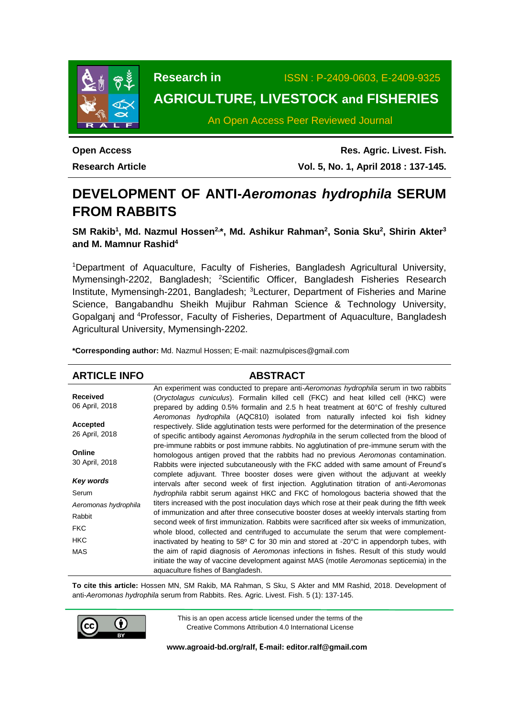

**Research in** ISSN : P-2409-0603, E-2409-9325

# **AGRICULTURE, LIVESTOCK and FISHERIES**

An Open Access Peer Reviewed Journal

**Open Access Research Article**

**Res. Agric. Livest. Fish. Vol. 5, No. 1, April 2018 : 137-145.**

# **DEVELOPMENT OF ANTI-***Aeromonas hydrophila* **SERUM FROM RABBITS**

**SM Rakib<sup>1</sup> , Md. Nazmul Hossen2, \*, Md. Ashikur Rahman<sup>2</sup> , Sonia Sku<sup>2</sup> , Shirin Akter<sup>3</sup> and M. Mamnur Rashid<sup>4</sup>**

<sup>1</sup>Department of Aquaculture, Faculty of Fisheries, Bangladesh Agricultural University, Mymensingh-2202, Bangladesh; <sup>2</sup>Scientific Officer, Bangladesh Fisheries Research Institute, Mymensingh-2201, Bangladesh; <sup>3</sup>Lecturer, Department of Fisheries and Marine Science, Bangabandhu Sheikh Mujibur Rahman Science & Technology University, Gopalganj and <sup>4</sup>Professor, Faculty of Fisheries, Department of Aquaculture, Bangladesh Agricultural University, Mymensingh-2202.

**\*Corresponding author:** Md. Nazmul Hossen; E-mail[: nazmulpisces@gmail.com](mailto:nazmulpisces@gmail.com)

### **ARTICLE INFO ABSTRACT**

|                          | An experiment was conducted to prepare anti-Aeromonas hydrophila serum in two rabbits                                                                                                                                                                                                                                                                                                                         |
|--------------------------|---------------------------------------------------------------------------------------------------------------------------------------------------------------------------------------------------------------------------------------------------------------------------------------------------------------------------------------------------------------------------------------------------------------|
| <b>Received</b>          | (Oryctolagus cuniculus). Formalin killed cell (FKC) and heat killed cell (HKC) were                                                                                                                                                                                                                                                                                                                           |
| 06 April, 2018           | prepared by adding 0.5% formalin and 2.5 h heat treatment at 60°C of freshly cultured                                                                                                                                                                                                                                                                                                                         |
|                          | Aeromonas hydrophila (AQC810) isolated from naturally infected koi fish kidney                                                                                                                                                                                                                                                                                                                                |
| Accepted                 | respectively. Slide agglutination tests were performed for the determination of the presence                                                                                                                                                                                                                                                                                                                  |
| 26 April, 2018           | of specific antibody against Aeromonas hydrophila in the serum collected from the blood of                                                                                                                                                                                                                                                                                                                    |
|                          | pre-immune rabbits or post immune rabbits. No agglutination of pre-immune serum with the                                                                                                                                                                                                                                                                                                                      |
| Online                   | homologous antigen proved that the rabbits had no previous Aeromonas contamination.                                                                                                                                                                                                                                                                                                                           |
| 30 April, 2018           | Rabbits were injected subcutaneously with the FKC added with same amount of Freund's                                                                                                                                                                                                                                                                                                                          |
|                          | complete adjuvant. Three booster doses were given without the adjuvant at weekly                                                                                                                                                                                                                                                                                                                              |
| Key words                | intervals after second week of first injection. Agglutination titration of anti-Aeromonas                                                                                                                                                                                                                                                                                                                     |
| Serum                    | hydrophila rabbit serum against HKC and FKC of homologous bacteria showed that the                                                                                                                                                                                                                                                                                                                            |
| Aeromonas hydrophila     | titers increased with the post inoculation days which rose at their peak during the fifth week                                                                                                                                                                                                                                                                                                                |
| Rabbit                   | of immunization and after three consecutive booster doses at weekly intervals starting from                                                                                                                                                                                                                                                                                                                   |
| <b>FKC</b>               | second week of first immunization. Rabbits were sacrificed after six weeks of immunization,                                                                                                                                                                                                                                                                                                                   |
|                          |                                                                                                                                                                                                                                                                                                                                                                                                               |
|                          |                                                                                                                                                                                                                                                                                                                                                                                                               |
|                          |                                                                                                                                                                                                                                                                                                                                                                                                               |
|                          |                                                                                                                                                                                                                                                                                                                                                                                                               |
| <b>HKC</b><br><b>MAS</b> | whole blood, collected and centrifuged to accumulate the serum that were complement-<br>inactivated by heating to 58° C for 30 min and stored at -20°C in appendorph tubes, with<br>the aim of rapid diagnosis of Aeromonas infections in fishes. Result of this study would<br>initiate the way of vaccine development against MAS (motile Aeromonas septicemia) in the<br>aquaculture fishes of Bangladesh. |

**To cite this article:** Hossen MN, SM Rakib, MA Rahman, S Sku, S Akter and MM Rashid, 2018. Development of anti-*Aeromonas hydrophila* serum from Rabbits. Res. Agric. Livest. Fish. 5 (1): 137-145.



This is an open access article licensed under the terms of the Creative Commons Attribution 4.0 International License

**[www.agroaid-bd.org/ralf,](http://www.agroaid-bd.org/ralf) E-mail: [editor.ralf@gmail.com](mailto:editor.ralf@gmail.com)**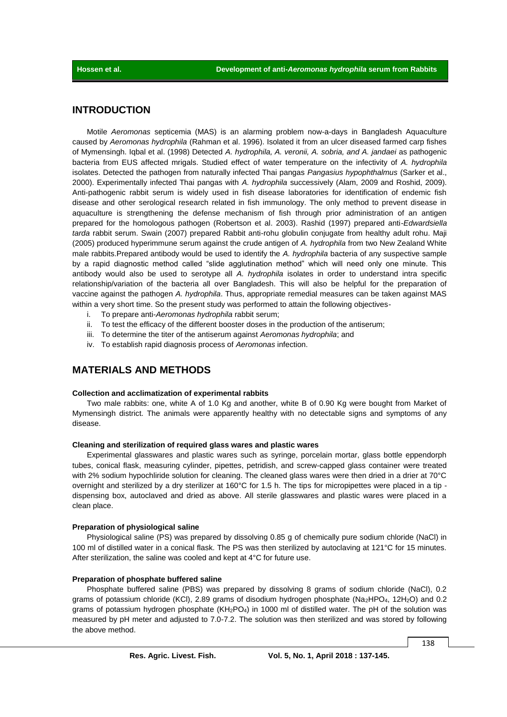### **INTRODUCTION**

Motile *Aeromonas* septicemia (MAS) is an alarming problem now-a-days in Bangladesh Aquaculture caused by *Aeromonas hydrophila* (Rahman et al. 1996). Isolated it from an ulcer diseased farmed carp fishes of Mymensingh. Iqbal et al. (1998) Detected *A. hydrophila, A. veronii, A. sobria, and A. jandaei* as pathogenic bacteria from EUS affected mrigals. Studied effect of water temperature on the infectivity of *A. hydrophila* isolates. Detected the pathogen from naturally infected Thai pangas *Pangasius hypophthalmus* (Sarker et al., 2000). Experimentally infected Thai pangas with *A. hydrophila* successively (Alam, 2009 and Roshid, 2009). Anti-pathogenic rabbit serum is widely used in fish disease laboratories for identification of endemic fish disease and other serological research related in fish immunology. The only method to prevent disease in aquaculture is strengthening the defense mechanism of fish through prior administration of an antigen prepared for the homologous pathogen (Robertson et al. 2003). Rashid (1997) prepared anti-*Edwardsiella tarda* rabbit serum. Swain (2007) prepared Rabbit anti-rohu globulin conjugate from healthy adult rohu. Maji (2005) produced hyperimmune serum against the crude antigen of *A. hydrophila* from two New Zealand White male rabbits.Prepared antibody would be used to identify the *A. hydrophila* bacteria of any suspective sample by a rapid diagnostic method called "slide agglutination method" which will need only one minute. This antibody would also be used to serotype all *A. hydrophila* isolates in order to understand intra specific relationship/variation of the bacteria all over Bangladesh. This will also be helpful for the preparation of vaccine against the pathogen *A. hydrophila*. Thus, appropriate remedial measures can be taken against MAS within a very short time. So the present study was performed to attain the following objectives-

- i. To prepare anti-*Aeromonas hydrophila* rabbit serum;
- ii. To test the efficacy of the different booster doses in the production of the antiserum;
- iii. To determine the titer of the antiserum against *Aeromonas hydrophila*; and
- iv. To establish rapid diagnosis process of *Aeromonas* infection.

### **MATERIALS AND METHODS**

#### **Collection and acclimatization of experimental rabbits**

Two male rabbits: one, white A of 1.0 Kg and another, white B of 0.90 Kg were bought from Market of Mymensingh district. The animals were apparently healthy with no detectable signs and symptoms of any disease.

#### **Cleaning and sterilization of required glass wares and plastic wares**

Experimental glasswares and plastic wares such as syringe, porcelain mortar, glass bottle eppendorph tubes, conical flask, measuring cylinder, pipettes, petridish, and screw-capped glass container were treated with 2% sodium hypochliride solution for cleaning. The cleaned glass wares were then dried in a drier at 70°C overnight and sterilized by a dry sterilizer at 160°C for 1.5 h. The tips for micropipettes were placed in a tip dispensing box, autoclaved and dried as above. All sterile glasswares and plastic wares were placed in a clean place.

#### **Preparation of physiological saline**

Physiological saline (PS) was prepared by dissolving 0.85 g of chemically pure sodium chloride (NaCl) in 100 ml of distilled water in a conical flask. The PS was then sterilized by autoclaving at 121°C for 15 minutes. After sterilization, the saline was cooled and kept at 4°C for future use.

#### **Preparation of phosphate buffered saline**

Phosphate buffered saline (PBS) was prepared by dissolving 8 grams of sodium chloride (NaCl), 0.2 grams of potassium chloride (KCl), 2.89 grams of disodium hydrogen phosphate (Na<sub>2</sub>HPO<sub>4</sub>, 12H<sub>2</sub>O) and 0.2 grams of potassium hydrogen phosphate  $(KH_2PO_4)$  in 1000 ml of distilled water. The pH of the solution was measured by pH meter and adjusted to 7.0-7.2. The solution was then sterilized and was stored by following the above method.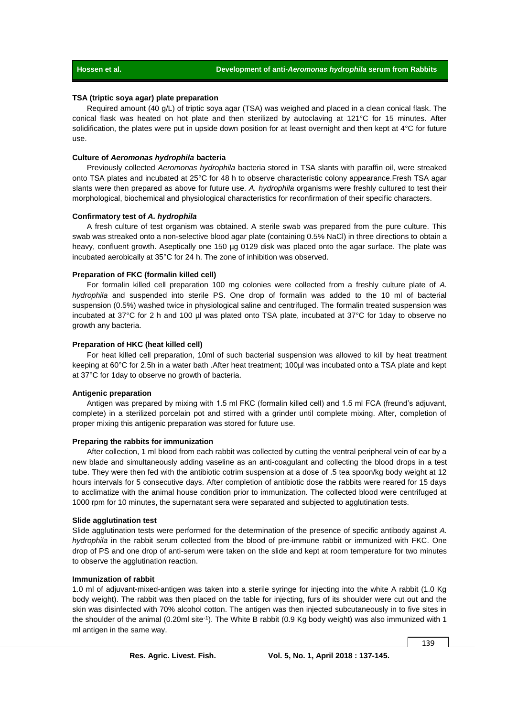#### **TSA (triptic soya agar) plate preparation**

Required amount (40 g/L) of triptic soya agar (TSA) was weighed and placed in a clean conical flask. The conical flask was heated on hot plate and then sterilized by autoclaving at 121°C for 15 minutes. After solidification, the plates were put in upside down position for at least overnight and then kept at 4°C for future use.

#### **Culture of** *Aeromonas hydrophila* **bacteria**

Previously collected *Aeromonas hydrophila* bacteria stored in TSA slants with paraffin oil, were streaked onto TSA plates and incubated at 25°C for 48 h to observe characteristic colony appearance.Fresh TSA agar slants were then prepared as above for future use. *A. hydrophila* organisms were freshly cultured to test their morphological, biochemical and physiological characteristics for reconfirmation of their specific characters.

#### **Confirmatory test of** *A. hydrophila*

A fresh culture of test organism was obtained. A sterile swab was prepared from the pure culture. This swab was streaked onto a non-selective blood agar plate (containing 0.5% NaCl) in three directions to obtain a heavy, confluent growth. Aseptically one 150 µg 0129 disk was placed onto the agar surface. The plate was incubated aerobically at 35°C for 24 h. The zone of inhibition was observed.

### **Preparation of FKC (formalin killed cell)**

For formalin killed cell preparation 100 mg colonies were collected from a freshly culture plate of *A. hydrophila* and suspended into sterile PS. One drop of formalin was added to the 10 ml of bacterial suspension (0.5%) washed twice in physiological saline and centrifuged. The formalin treated suspension was incubated at 37°C for 2 h and 100 ul was plated onto TSA plate, incubated at 37°C for 1day to observe no growth any bacteria.

#### **Preparation of HKC (heat killed cell)**

For heat killed cell preparation, 10ml of such bacterial suspension was allowed to kill by heat treatment keeping at 60°C for 2.5h in a water bath .After heat treatment; 100µl was incubated onto a TSA plate and kept at 37°C for 1day to observe no growth of bacteria.

#### **Antigenic preparation**

Antigen was prepared by mixing with 1.5 ml FKC (formalin killed cell) and 1.5 ml FCA (freund's adjuvant, complete) in a sterilized porcelain pot and stirred with a grinder until complete mixing. After, completion of proper mixing this antigenic preparation was stored for future use.

#### **Preparing the rabbits for immunization**

After collection, 1 ml blood from each rabbit was collected by cutting the ventral peripheral vein of ear by a new blade and simultaneously adding vaseline as an anti-coagulant and collecting the blood drops in a test tube. They were then fed with the antibiotic cotrim suspension at a dose of .5 tea spoon/kg body weight at 12 hours intervals for 5 consecutive days. After completion of antibiotic dose the rabbits were reared for 15 days to acclimatize with the animal house condition prior to immunization. The collected blood were centrifuged at 1000 rpm for 10 minutes, the supernatant sera were separated and subjected to agglutination tests.

#### **Slide agglutination test**

Slide agglutination tests were performed for the determination of the presence of specific antibody against *A. hydrophila* in the rabbit serum collected from the blood of pre-immune rabbit or immunized with FKC. One drop of PS and one drop of anti-serum were taken on the slide and kept at room temperature for two minutes to observe the agglutination reaction.

#### **Immunization of rabbit**

1.0 ml of adjuvant-mixed-antigen was taken into a sterile syringe for injecting into the white A rabbit (1.0 Kg body weight). The rabbit was then placed on the table for injecting, furs of its shoulder were cut out and the skin was disinfected with 70% alcohol cotton. The antigen was then injected subcutaneously in to five sites in the shoulder of the animal (0.20ml site<sup>-1</sup>). The White B rabbit (0.9 Kg body weight) was also immunized with 1 ml antigen in the same way.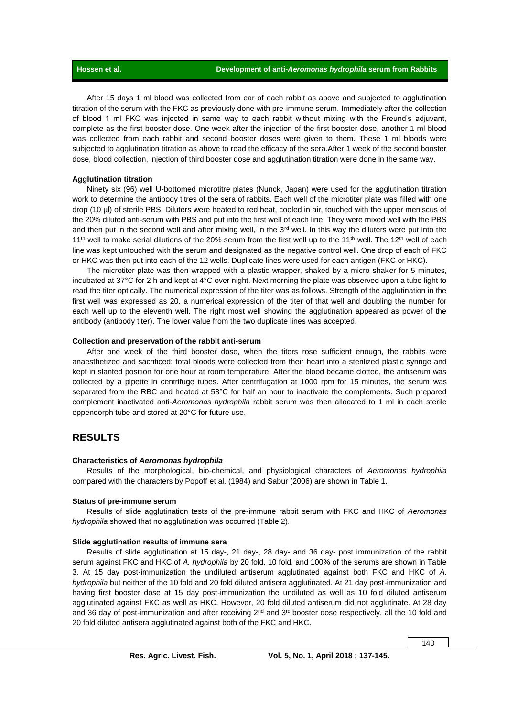After 15 days 1 ml blood was collected from ear of each rabbit as above and subjected to agglutination titration of the serum with the FKC as previously done with pre-immune serum. Immediately after the collection of blood 1 ml FKC was injected in same way to each rabbit without mixing with the Freund's adjuvant, complete as the first booster dose. One week after the injection of the first booster dose, another 1 ml blood was collected from each rabbit and second booster doses were given to them. These 1 ml bloods were subjected to agglutination titration as above to read the efficacy of the sera.After 1 week of the second booster dose, blood collection, injection of third booster dose and agglutination titration were done in the same way.

#### **Agglutination titration**

Ninety six (96) well U-bottomed microtitre plates (Nunck, Japan) were used for the agglutination titration work to determine the antibody titres of the sera of rabbits. Each well of the microtiter plate was filled with one drop (10 µl) of sterile PBS. Diluters were heated to red heat, cooled in air, touched with the upper meniscus of the 20% diluted anti-serum with PBS and put into the first well of each line. They were mixed well with the PBS and then put in the second well and after mixing well, in the  $3<sup>rd</sup>$  well. In this way the diluters were put into the 11<sup>th</sup> well to make serial dilutions of the 20% serum from the first well up to the 11<sup>th</sup> well. The 12<sup>th</sup> well of each line was kept untouched with the serum and designated as the negative control well. One drop of each of FKC or HKC was then put into each of the 12 wells. Duplicate lines were used for each antigen (FKC or HKC).

The microtiter plate was then wrapped with a plastic wrapper, shaked by a micro shaker for 5 minutes, incubated at 37°C for 2 h and kept at 4°C over night. Next morning the plate was observed upon a tube light to read the titer optically. The numerical expression of the titer was as follows. Strength of the agglutination in the first well was expressed as 20, a numerical expression of the titer of that well and doubling the number for each well up to the eleventh well. The right most well showing the agglutination appeared as power of the antibody (antibody titer). The lower value from the two duplicate lines was accepted.

#### **Collection and preservation of the rabbit anti-serum**

After one week of the third booster dose, when the titers rose sufficient enough, the rabbits were anaesthetized and sacrificed; total bloods were collected from their heart into a sterilized plastic syringe and kept in slanted position for one hour at room temperature. After the blood became clotted, the antiserum was collected by a pipette in centrifuge tubes. After centrifugation at 1000 rpm for 15 minutes, the serum was separated from the RBC and heated at 58°C for half an hour to inactivate the complements. Such prepared complement inactivated anti-*Aeromonas hydrophila* rabbit serum was then allocated to 1 ml in each sterile eppendorph tube and stored at 20°C for future use.

### **RESULTS**

#### **Characteristics of** *Aeromonas hydrophila*

Results of the morphological, bio-chemical, and physiological characters of *Aeromonas hydrophila*  compared with the characters by Popoff et al. (1984) and Sabur (2006) are shown in Table 1.

#### **Status of pre-immune serum**

Results of slide agglutination tests of the pre-immune rabbit serum with FKC and HKC of *Aeromonas hydrophila* showed that no agglutination was occurred (Table 2).

#### **Slide agglutination results of immune sera**

Results of slide agglutination at 15 day-, 21 day-, 28 day- and 36 day- post immunization of the rabbit serum against FKC and HKC of *A. hydrophila* by 20 fold, 10 fold, and 100% of the serums are shown in Table 3. At 15 day post-immunization the undiluted antiserum agglutinated against both FKC and HKC of *A. hydrophila* but neither of the 10 fold and 20 fold diluted antisera agglutinated. At 21 day post-immunization and having first booster dose at 15 day post-immunization the undiluted as well as 10 fold diluted antiserum agglutinated against FKC as well as HKC. However, 20 fold diluted antiserum did not agglutinate. At 28 day and 36 day of post-immunization and after receiving  $2^{nd}$  and  $3^{rd}$  booster dose respectively, all the 10 fold and 20 fold diluted antisera agglutinated against both of the FKC and HKC.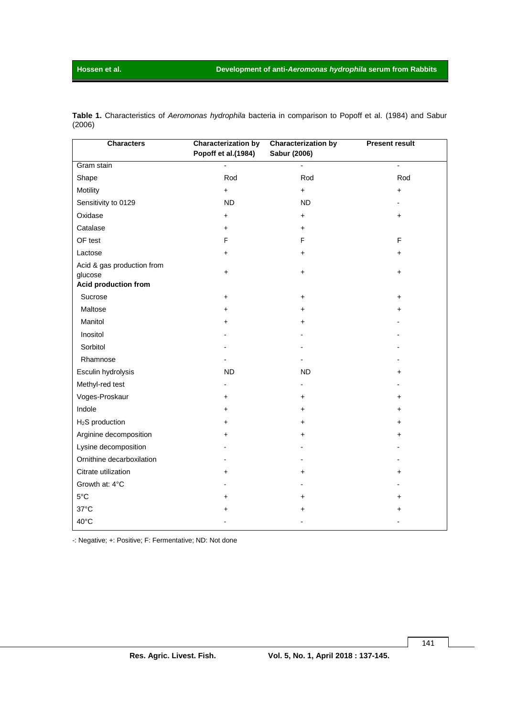| <b>Characters</b>                                             | <b>Characterization by</b><br>Popoff et al.(1984) | <b>Characterization by</b><br>Sabur (2006) | <b>Present result</b> |
|---------------------------------------------------------------|---------------------------------------------------|--------------------------------------------|-----------------------|
| Gram stain                                                    |                                                   |                                            |                       |
| Shape                                                         | Rod                                               | Rod                                        | Rod                   |
| Motility                                                      | $\ddot{}$                                         | $\ddot{}$                                  | $\ddot{}$             |
| Sensitivity to 0129                                           | <b>ND</b>                                         | <b>ND</b>                                  |                       |
| Oxidase                                                       | $\pmb{+}$                                         | +                                          | $\ddot{}$             |
| Catalase                                                      | +                                                 | +                                          |                       |
| OF test                                                       | F                                                 | F                                          | F                     |
| Lactose                                                       | +                                                 | +                                          | $\ddot{}$             |
| Acid & gas production from<br>glucose<br>Acid production from | $\ddot{}$                                         | +                                          | $\ddot{}$             |
| Sucrose                                                       | $\ddot{}$                                         | +                                          | +                     |
| Maltose                                                       |                                                   | +                                          | +                     |
| Manitol                                                       |                                                   | +                                          |                       |
| Inositol                                                      |                                                   |                                            |                       |
| Sorbitol                                                      |                                                   |                                            |                       |
| Rhamnose                                                      |                                                   |                                            |                       |
| Esculin hydrolysis                                            | <b>ND</b>                                         | <b>ND</b>                                  | +                     |
| Methyl-red test                                               |                                                   |                                            |                       |
| Voges-Proskaur                                                | $\ddot{}$                                         | $\ddot{}$                                  | +                     |
| Indole                                                        | +                                                 | $\ddot{}$                                  | +                     |
| H <sub>2</sub> S production                                   | +                                                 | $\ddot{}$                                  | +                     |
| Arginine decomposition                                        | +                                                 | $\ddot{}$                                  | +                     |
| Lysine decomposition                                          |                                                   |                                            |                       |
| Ornithine decarboxilation                                     |                                                   |                                            |                       |
| Citrate utilization                                           | $\ddot{}$                                         | $\ddot{}$                                  | $\ddot{}$             |
| Growth at: 4°C                                                |                                                   |                                            |                       |
| $5^{\circ}$ C                                                 | $\ddot{}$                                         | +                                          | $\ddot{}$             |
| $37^{\circ}$ C                                                |                                                   | +                                          | +                     |
| 40°C                                                          |                                                   |                                            |                       |

**Table 1.** Characteristics of *Aeromonas hydrophila* bacteria in comparison to Popoff et al. (1984) and Sabur (2006)

-: Negative; +: Positive; F: Fermentative; ND: Not done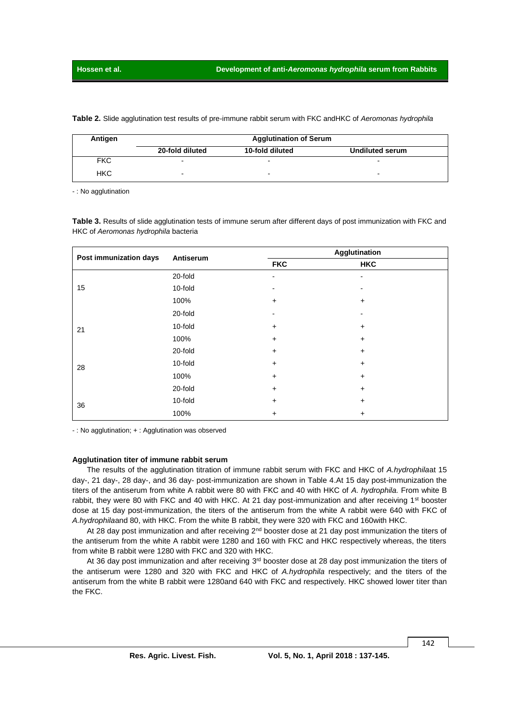**Table 2.** Slide agglutination test results of pre-immune rabbit serum with FKC andHKC of *Aeromonas hydrophila*

| Antigen    | <b>Agglutination of Serum</b> |                          |                          |  |  |
|------------|-------------------------------|--------------------------|--------------------------|--|--|
|            | 20-fold diluted               | 10-fold diluted          | <b>Undiluted serum</b>   |  |  |
| <b>FKC</b> |                               |                          |                          |  |  |
| <b>HKC</b> | -                             | $\overline{\phantom{0}}$ | $\overline{\phantom{0}}$ |  |  |

- : No agglutination

**Table 3.** Results of slide agglutination tests of immune serum after different days of post immunization with FKC and HKC of *Aeromonas hydrophila* bacteria

| Post immunization days | Antiserum | Agglutination  |            |  |
|------------------------|-----------|----------------|------------|--|
|                        |           | <b>FKC</b>     | <b>HKC</b> |  |
|                        | 20-fold   | $\blacksquare$ |            |  |
| 15                     | 10-fold   |                |            |  |
|                        | 100%      | $\ddot{}$      | +          |  |
|                        | 20-fold   |                |            |  |
| 21                     | 10-fold   | $\ddot{}$      | +          |  |
|                        | 100%      | $\ddot{}$      | +          |  |
|                        | 20-fold   | $\ddot{}$      | +          |  |
| 28                     | 10-fold   | $\ddot{}$      | $\ddot{}$  |  |
|                        | 100%      | $\ddot{}$      | +          |  |
|                        | 20-fold   | $\ddot{}$      | +          |  |
| 36                     | 10-fold   | $\ddot{}$      | +          |  |
|                        | 100%      | +              | +          |  |

- : No agglutination; + : Agglutination was observed

#### **Agglutination titer of immune rabbit serum**

The results of the agglutination titration of immune rabbit serum with FKC and HKC of *A.hydrophila*at 15 day-, 21 day-, 28 day-, and 36 day- post-immunization are shown in Table 4.At 15 day post-immunization the titers of the antiserum from white A rabbit were 80 with FKC and 40 with HKC of *A. hydrophila.* From white B rabbit, they were 80 with FKC and 40 with HKC. At 21 day post-immunization and after receiving 1<sup>st</sup> booster dose at 15 day post-immunization, the titers of the antiserum from the white A rabbit were 640 with FKC of *A.hydrophila*and 80, with HKC. From the white B rabbit, they were 320 with FKC and 160with HKC.

At 28 day post immunization and after receiving  $2<sup>nd</sup>$  booster dose at 21 day post immunization the titers of the antiserum from the white A rabbit were 1280 and 160 with FKC and HKC respectively whereas, the titers from white B rabbit were 1280 with FKC and 320 with HKC.

At 36 day post immunization and after receiving 3<sup>rd</sup> booster dose at 28 day post immunization the titers of the antiserum were 1280 and 320 with FKC and HKC of *A.hydrophila* respectively; and the titers of the antiserum from the white B rabbit were 1280and 640 with FKC and respectively. HKC showed lower titer than the FKC.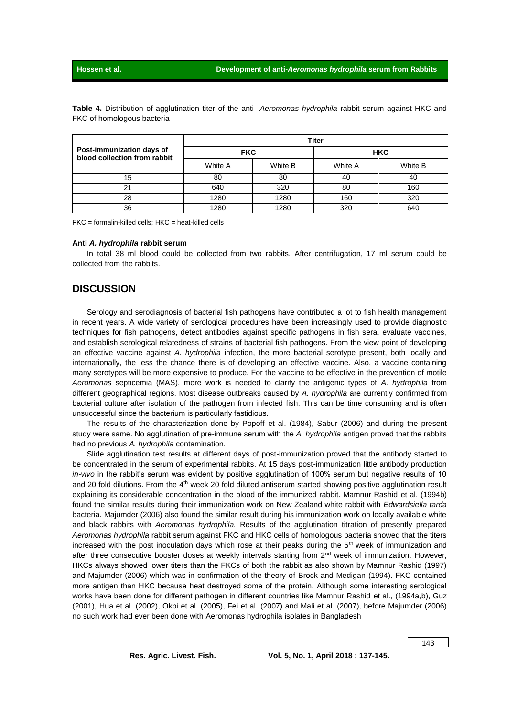|                                                           | <b>Titer</b> |         |            |         |  |
|-----------------------------------------------------------|--------------|---------|------------|---------|--|
| Post-immunization days of<br>blood collection from rabbit | <b>FKC</b>   |         | <b>HKC</b> |         |  |
|                                                           | White A      | White B | White A    | White B |  |
| 15                                                        | 80           | 80      | 40         | 40      |  |
| 21                                                        | 640          | 320     | 80         | 160     |  |
| 28                                                        | 1280         | 1280    | 160        | 320     |  |
| 36                                                        | 1280         | 1280    | 320        | 640     |  |

**Table 4.** Distribution of agglutination titer of the anti- *Aeromonas hydrophila* rabbit serum against HKC and FKC of homologous bacteria

 $FKC = formulain$ -killed cells: HKC = heat-killed cells

#### **Anti** *A. hydrophila* **rabbit serum**

In total 38 ml blood could be collected from two rabbits. After centrifugation, 17 ml serum could be collected from the rabbits.

### **DISCUSSION**

Serology and serodiagnosis of bacterial fish pathogens have contributed a lot to fish health management in recent years. A wide variety of serological procedures have been increasingly used to provide diagnostic techniques for fish pathogens, detect antibodies against specific pathogens in fish sera, evaluate vaccines, and establish serological relatedness of strains of bacterial fish pathogens. From the view point of developing an effective vaccine against *A. hydrophila* infection, the more bacterial serotype present, both locally and internationally, the less the chance there is of developing an effective vaccine. Also, a vaccine containing many serotypes will be more expensive to produce. For the vaccine to be effective in the prevention of motile *Aeromonas* septicemia (MAS), more work is needed to clarify the antigenic types of *A. hydrophila* from different geographical regions. Most disease outbreaks caused by *A. hydrophila* are currently confirmed from bacterial culture after isolation of the pathogen from infected fish. This can be time consuming and is often unsuccessful since the bacterium is particularly fastidious.

The results of the characterization done by Popoff et al. (1984), Sabur (2006) and during the present study were same. No agglutination of pre-immune serum with the *A. hydrophila* antigen proved that the rabbits had no previous *A. hydrophila* contamination.

Slide agglutination test results at different days of post-immunization proved that the antibody started to be concentrated in the serum of experimental rabbits. At 15 days post-immunization little antibody production *in-vivo* in the rabbit's serum was evident by positive agglutination of 100% serum but negative results of 10 and 20 fold dilutions. From the 4<sup>th</sup> week 20 fold diluted antiserum started showing positive agglutination result explaining its considerable concentration in the blood of the immunized rabbit. Mamnur Rashid et al. (1994b) found the similar results during their immunization work on New Zealand white rabbit with *Edwardsiella tarda* bacteria. Majumder (2006) also found the similar result during his immunization work on locally available white and black rabbits with *Aeromonas hydrophila.* Results of the agglutination titration of presently prepared *Aeromonas hydrophila* rabbit serum against FKC and HKC cells of homologous bacteria showed that the titers increased with the post inoculation days which rose at their peaks during the  $5<sup>th</sup>$  week of immunization and after three consecutive booster doses at weekly intervals starting from 2<sup>nd</sup> week of immunization. However, HKCs always showed lower titers than the FKCs of both the rabbit as also shown by Mamnur Rashid (1997) and Majumder (2006) which was in confirmation of the theory of Brock and Medigan (1994). FKC contained more antigen than HKC because heat destroyed some of the protein. Although some interesting serological works have been done for different pathogen in different countries like Mamnur Rashid et al., (1994a,b), Guz (2001), Hua et al. (2002), Okbi et al. (2005), Fei et al. (2007) and Mali et al. (2007), before Majumder (2006) no such work had ever been done with Aeromonas hydrophila isolates in Bangladesh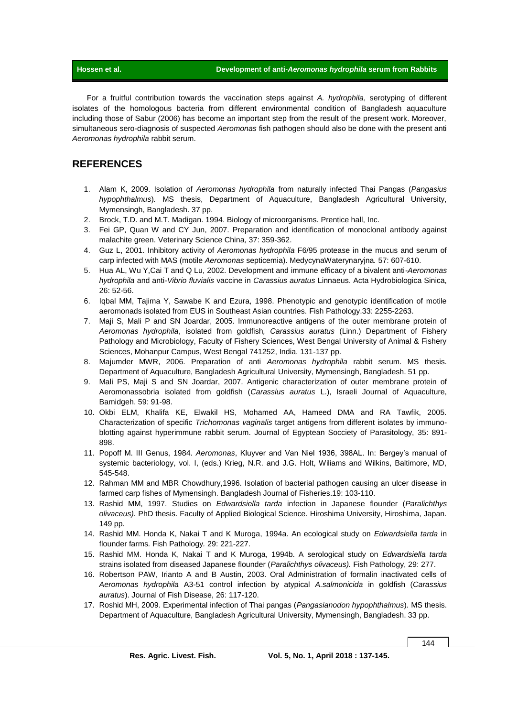For a fruitful contribution towards the vaccination steps against *A. hydrophila*, serotyping of different isolates of the homologous bacteria from different environmental condition of Bangladesh aquaculture including those of Sabur (2006) has become an important step from the result of the present work. Moreover, simultaneous sero-diagnosis of suspected *Aeromonas* fish pathogen should also be done with the present anti *Aeromonas hydrophila* rabbit serum.

## **REFERENCES**

- 1. Alam K, 2009. Isolation of *Aeromonas hydrophila* from naturally infected Thai Pangas (*Pangasius hypophthalmus*)*.* MS thesis, Department of Aquaculture, Bangladesh Agricultural University, Mymensingh, Bangladesh. 37 pp.
- 2. Brock, T.D. and M.T. Madigan. 1994. Biology of microorganisms. Prentice hall, Inc.
- 3. Fei GP, Quan W and CY Jun, 2007. Preparation and identification of monoclonal antibody against malachite green. Veterinary Science China, 37: 359-362.
- 4. Guz L, 2001. Inhibitory activity of *Aeromonas hydrophila* F6/95 protease in the mucus and serum of carp infected with MAS (motile *Aeromonas* septicemia). MedycynaWaterynaryjna*.* 57: 607-610.
- 5. Hua AL, Wu Y,Cai T and Q Lu, 2002. Development and immune efficacy of a bivalent anti-*Aeromonas hydrophila* and anti-*Vibrio fluvialis* vaccine in *Carassius auratus* Linnaeus. Acta Hydrobiologica Sinica, 26: 52-56.
- 6. Iqbal MM, Tajima Y, Sawabe K and Ezura, 1998. Phenotypic and genotypic identification of motile aeromonads isolated from EUS in Southeast Asian countries. Fish Pathology.33: 2255-2263.
- 7. Maji S, Mali P and SN Joardar, 2005. Immunoreactive antigens of the outer membrane protein of *Aeromonas hydrophila*, isolated from goldfish*, Carassius auratus* (Linn.) Department of Fishery Pathology and Microbiology, Faculty of Fishery Sciences, West Bengal University of Animal & Fishery Sciences, Mohanpur Campus, West Bengal 741252, India. 131-137 pp.
- 8. Majumder MWR, 2006. Preparation of anti *Aeromonas hydrophila* rabbit serum. MS thesis. Department of Aquaculture, Bangladesh Agricultural University, Mymensingh, Bangladesh. 51 pp.
- 9. Mali PS, Maji S and SN Joardar, 2007. Antigenic characterization of outer membrane protein of Aeromonassobria isolated from goldfish (*Carassius auratus* L.), Israeli Journal of Aquaculture, Bamidgeh. 59: 91-98.
- 10. Okbi ELM, Khalifa KE, Elwakil HS, Mohamed AA, Hameed DMA and RA Tawfik, 2005. Characterization of specific *Trichomonas vaginalis* target antigens from different isolates by immunoblotting against hyperimmune rabbit serum. Journal of Egyptean Socciety of Parasitology, 35: 891- 898.
- 11. Popoff M. III Genus, 1984. *Aeromonas*, Kluyver and Van Niel 1936, 398AL. In: Bergey's manual of systemic bacteriology, vol. I, (eds.) Krieg, N.R. and J.G. Holt, Wiliams and Wilkins, Baltimore, MD, 545-548.
- 12. Rahman MM and MBR Chowdhury,1996. Isolation of bacterial pathogen causing an ulcer disease in farmed carp fishes of Mymensingh. Bangladesh Journal of Fisheries.19: 103-110.
- 13. Rashid MM, 1997. Studies on *Edwardsiella tarda* infection in Japanese flounder (*Paralichthys olivaceus).* PhD thesis. Faculty of Applied Biological Science. Hiroshima University, Hiroshima, Japan. 149 pp.
- 14. Rashid MM. Honda K, Nakai T and K Muroga, 1994a. An ecological study on *Edwardsiella tarda* in flounder farms*.* Fish Pathology*.* 29: 221-227.
- 15. Rashid MM. Honda K, Nakai T and K Muroga, 1994b. A serological study on *Edwardsiella tarda*  strains isolated from diseased Japanese flounder (*Paralichthys olivaceus).* Fish Pathology, 29: 277.
- 16. Robertson PAW, Irianto A and B Austin, 2003. Oral Administration of formalin inactivated cells of *Aeromonas hydrophila* A3-51 control infection by atypical *A.salmonicida* in goldfish (*Carassius auratus*). Journal of Fish Disease, 26: 117-120.
- 17. Roshid MH, 2009. Experimental infection of Thai pangas (*Pangasianodon hypophthalmus*)*.* MS thesis. Department of Aquaculture, Bangladesh Agricultural University, Mymensingh, Bangladesh. 33 pp.